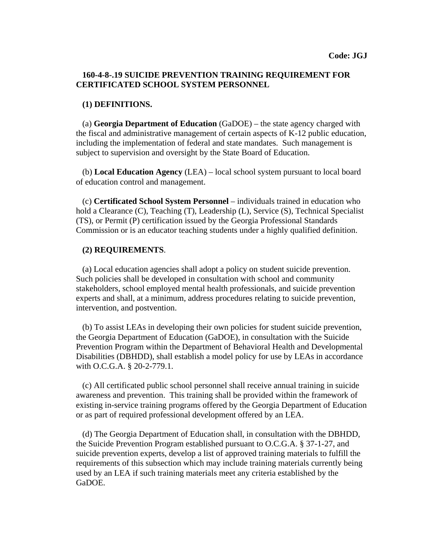## **160-4-8-.19 SUICIDE PREVENTION TRAINING REQUIREMENT FOR CERTIFICATED SCHOOL SYSTEM PERSONNEL**

## **(1) DEFINITIONS.**

(a) **Georgia Department of Education** (GaDOE) – the state agency charged with the fiscal and administrative management of certain aspects of K-12 public education, including the implementation of federal and state mandates. Such management is subject to supervision and oversight by the State Board of Education.

 (b) **Local Education Agency** (LEA) – local school system pursuant to local board of education control and management.

(c) **Certificated School System Personnel** – individuals trained in education who hold a Clearance (C), Teaching (T), Leadership (L), Service (S), Technical Specialist (TS), or Permit (P) certification issued by the Georgia Professional Standards Commission or is an educator teaching students under a highly qualified definition.

## **(2) REQUIREMENTS**.

 (a) Local education agencies shall adopt a policy on student suicide prevention. Such policies shall be developed in consultation with school and community stakeholders, school employed mental health professionals, and suicide prevention experts and shall, at a minimum, address procedures relating to suicide prevention, intervention, and postvention.

 (b) To assist LEAs in developing their own policies for student suicide prevention, the Georgia Department of Education (GaDOE), in consultation with the Suicide Prevention Program within the Department of Behavioral Health and Developmental Disabilities (DBHDD), shall establish a model policy for use by LEAs in accordance with O.C.G.A. § 20-2-779.1.

 (c) All certificated public school personnel shall receive annual training in suicide awareness and prevention. This training shall be provided within the framework of existing in-service training programs offered by the Georgia Department of Education or as part of required professional development offered by an LEA.

 (d) The Georgia Department of Education shall, in consultation with the DBHDD, the Suicide Prevention Program established pursuant to O.C.G.A. § 37-1-27, and suicide prevention experts, develop a list of approved training materials to fulfill the requirements of this subsection which may include training materials currently being used by an LEA if such training materials meet any criteria established by the GaDOE.